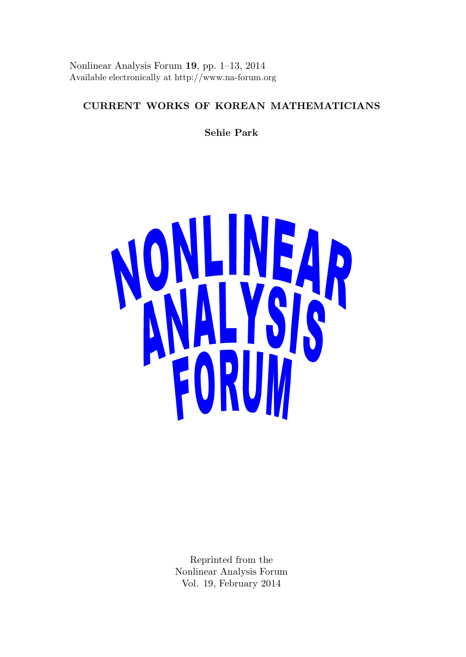Nonlinear Analysis Forum 19, pp. 1–13, 2014 Available electronically at http://www.na-forum.org

# CURRENT WORKS OF KOREAN MATHEMATICIANS

Sehie Park



Reprinted from the Nonlinear Analysis Forum Vol. 19, February 2014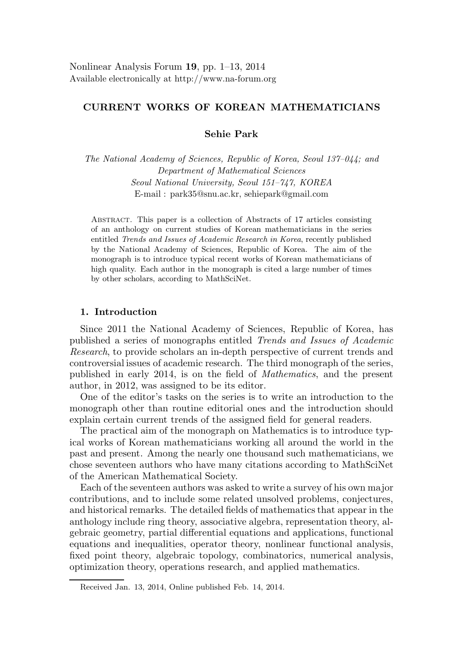# CURRENT WORKS OF KOREAN MATHEMATICIANS

Sehie Park

The National Academy of Sciences, Republic of Korea, Seoul 137–044; and Department of Mathematical Sciences Seoul National University, Seoul 151–747, KOREA E-mail : park35@snu.ac.kr, sehiepark@gmail.com

Abstract. This paper is a collection of Abstracts of 17 articles consisting of an anthology on current studies of Korean mathematicians in the series entitled Trends and Issues of Academic Research in Korea, recently published by the National Academy of Sciences, Republic of Korea. The aim of the monograph is to introduce typical recent works of Korean mathematicians of high quality. Each author in the monograph is cited a large number of times by other scholars, according to MathSciNet.

### 1. Introduction

Since 2011 the National Academy of Sciences, Republic of Korea, has published a series of monographs entitled Trends and Issues of Academic Research, to provide scholars an in-depth perspective of current trends and controversial issues of academic research. The third monograph of the series, published in early 2014, is on the field of Mathematics, and the present author, in 2012, was assigned to be its editor.

One of the editor's tasks on the series is to write an introduction to the monograph other than routine editorial ones and the introduction should explain certain current trends of the assigned field for general readers.

The practical aim of the monograph on Mathematics is to introduce typical works of Korean mathematicians working all around the world in the past and present. Among the nearly one thousand such mathematicians, we chose seventeen authors who have many citations according to MathSciNet of the American Mathematical Society.

Each of the seventeen authors was asked to write a survey of his own major contributions, and to include some related unsolved problems, conjectures, and historical remarks. The detailed fields of mathematics that appear in the anthology include ring theory, associative algebra, representation theory, algebraic geometry, partial differential equations and applications, functional equations and inequalities, operator theory, nonlinear functional analysis, fixed point theory, algebraic topology, combinatorics, numerical analysis, optimization theory, operations research, and applied mathematics.

Received Jan. 13, 2014, Online published Feb. 14, 2014.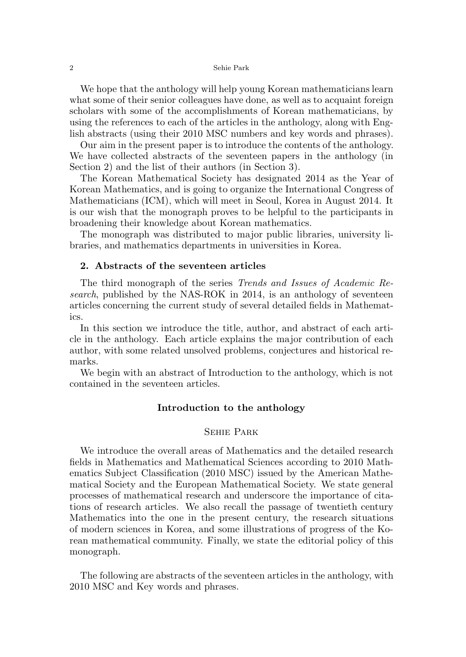We hope that the anthology will help young Korean mathematicians learn what some of their senior colleagues have done, as well as to acquaint foreign scholars with some of the accomplishments of Korean mathematicians, by using the references to each of the articles in the anthology, along with English abstracts (using their 2010 MSC numbers and key words and phrases).

Our aim in the present paper is to introduce the contents of the anthology. We have collected abstracts of the seventeen papers in the anthology (in Section 2) and the list of their authors (in Section 3).

The Korean Mathematical Society has designated 2014 as the Year of Korean Mathematics, and is going to organize the International Congress of Mathematicians (ICM), which will meet in Seoul, Korea in August 2014. It is our wish that the monograph proves to be helpful to the participants in broadening their knowledge about Korean mathematics.

The monograph was distributed to major public libraries, university libraries, and mathematics departments in universities in Korea.

## 2. Abstracts of the seventeen articles

The third monograph of the series Trends and Issues of Academic Research, published by the NAS-ROK in 2014, is an anthology of seventeen articles concerning the current study of several detailed fields in Mathematics.

In this section we introduce the title, author, and abstract of each article in the anthology. Each article explains the major contribution of each author, with some related unsolved problems, conjectures and historical remarks.

We begin with an abstract of Introduction to the anthology, which is not contained in the seventeen articles.

# Introduction to the anthology

# Sehie Park

We introduce the overall areas of Mathematics and the detailed research fields in Mathematics and Mathematical Sciences according to 2010 Mathematics Subject Classification (2010 MSC) issued by the American Mathematical Society and the European Mathematical Society. We state general processes of mathematical research and underscore the importance of citations of research articles. We also recall the passage of twentieth century Mathematics into the one in the present century, the research situations of modern sciences in Korea, and some illustrations of progress of the Korean mathematical community. Finally, we state the editorial policy of this monograph.

The following are abstracts of the seventeen articles in the anthology, with 2010 MSC and Key words and phrases.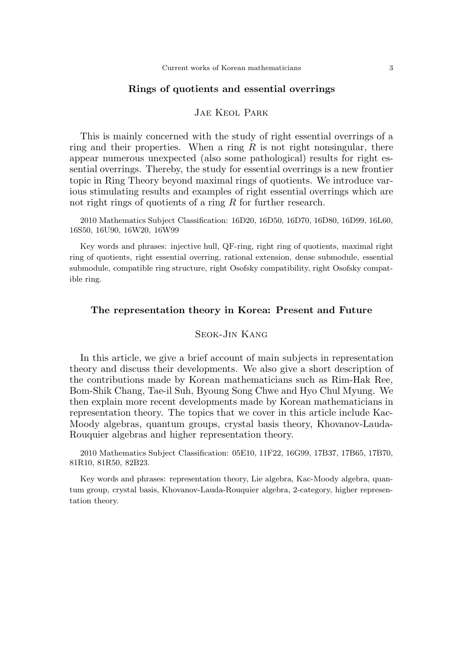## Rings of quotients and essential overrings

### Jae Keol Park

This is mainly concerned with the study of right essential overrings of a ring and their properties. When a ring  $R$  is not right nonsingular, there appear numerous unexpected (also some pathological) results for right essential overrings. Thereby, the study for essential overrings is a new frontier topic in Ring Theory beyond maximal rings of quotients. We introduce various stimulating results and examples of right essential overrings which are not right rings of quotients of a ring  $R$  for further research.

2010 Mathematics Subject Classification: 16D20, 16D50, 16D70, 16D80, 16D99, 16L60, 16S50, 16U90, 16W20, 16W99

Key words and phrases: injective hull, QF-ring, right ring of quotients, maximal right ring of quotients, right essential overring, rational extension, dense submodule, essential submodule, compatible ring structure, right Osofsky compatibility, right Osofsky compatible ring.

### The representation theory in Korea: Present and Future

## Seok-Jin Kang

In this article, we give a brief account of main subjects in representation theory and discuss their developments. We also give a short description of the contributions made by Korean mathematicians such as Rim-Hak Ree, Bom-Shik Chang, Tae-il Suh, Byoung Song Chwe and Hyo Chul Myung. We then explain more recent developments made by Korean mathematicians in representation theory. The topics that we cover in this article include Kac-Moody algebras, quantum groups, crystal basis theory, Khovanov-Lauda-Rouquier algebras and higher representation theory.

2010 Mathematics Subject Classification: 05E10, 11F22, 16G99, 17B37, 17B65, 17B70, 81R10, 81R50, 82B23.

Key words and phrases: representation theory, Lie algebra, Kac-Moody algebra, quantum group, crystal basis, Khovanov-Lauda-Rouquier algebra, 2-category, higher representation theory.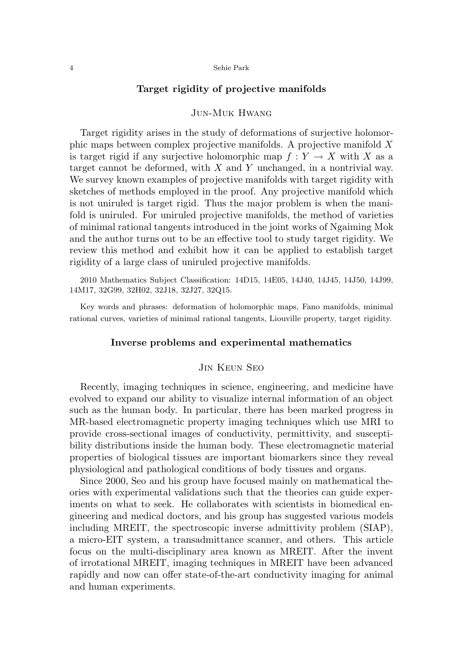# Target rigidity of projective manifolds

### Jun-Muk Hwang

Target rigidity arises in the study of deformations of surjective holomorphic maps between complex projective manifolds. A projective manifold X is target rigid if any surjective holomorphic map  $f: Y \to X$  with X as a target cannot be deformed, with  $X$  and  $Y$  unchanged, in a nontrivial way. We survey known examples of projective manifolds with target rigidity with sketches of methods employed in the proof. Any projective manifold which is not uniruled is target rigid. Thus the major problem is when the manifold is uniruled. For uniruled projective manifolds, the method of varieties of minimal rational tangents introduced in the joint works of Ngaiming Mok and the author turns out to be an effective tool to study target rigidity. We review this method and exhibit how it can be applied to establish target rigidity of a large class of uniruled projective manifolds.

2010 Mathematics Subject Classification: 14D15, 14E05, 14J40, 14J45, 14J50, 14J99, 14M17, 32G99, 32H02, 32J18, 32J27, 32Q15.

Key words and phrases: deformation of holomorphic maps, Fano manifolds, minimal rational curves, varieties of minimal rational tangents, Liouville property, target rigidity.

### Inverse problems and experimental mathematics

### Jin Keun Seo

Recently, imaging techniques in science, engineering, and medicine have evolved to expand our ability to visualize internal information of an object such as the human body. In particular, there has been marked progress in MR-based electromagnetic property imaging techniques which use MRI to provide cross-sectional images of conductivity, permittivity, and susceptibility distributions inside the human body. These electromagnetic material properties of biological tissues are important biomarkers since they reveal physiological and pathological conditions of body tissues and organs.

Since 2000, Seo and his group have focused mainly on mathematical theories with experimental validations such that the theories can guide experiments on what to seek. He collaborates with scientists in biomedical engineering and medical doctors, and his group has suggested various models including MREIT, the spectroscopic inverse admittivity problem (SIAP), a micro-EIT system, a transadmittance scanner, and others. This article focus on the multi-disciplinary area known as MREIT. After the invent of irrotational MREIT, imaging techniques in MREIT have been advanced rapidly and now can offer state-of-the-art conductivity imaging for animal and human experiments.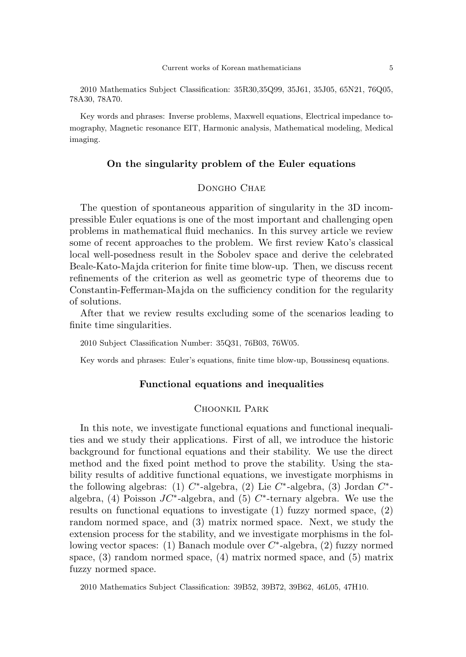2010 Mathematics Subject Classification: 35R30,35Q99, 35J61, 35J05, 65N21, 76Q05, 78A30, 78A70.

Key words and phrases: Inverse problems, Maxwell equations, Electrical impedance tomography, Magnetic resonance EIT, Harmonic analysis, Mathematical modeling, Medical imaging.

### On the singularity problem of the Euler equations

# DONGHO CHAE

The question of spontaneous apparition of singularity in the 3D incompressible Euler equations is one of the most important and challenging open problems in mathematical fluid mechanics. In this survey article we review some of recent approaches to the problem. We first review Kato's classical local well-posedness result in the Sobolev space and derive the celebrated Beale-Kato-Majda criterion for finite time blow-up. Then, we discuss recent refinements of the criterion as well as geometric type of theorems due to Constantin-Fefferman-Majda on the sufficiency condition for the regularity of solutions.

After that we review results excluding some of the scenarios leading to finite time singularities.

2010 Subject Classification Number: 35Q31, 76B03, 76W05.

Key words and phrases: Euler's equations, finite time blow-up, Boussinesq equations.

# Functional equations and inequalities

# CHOONKIL PARK

In this note, we investigate functional equations and functional inequalities and we study their applications. First of all, we introduce the historic background for functional equations and their stability. We use the direct method and the fixed point method to prove the stability. Using the stability results of additive functional equations, we investigate morphisms in the following algebras: (1)  $C^*$ -algebra, (2) Lie  $C^*$ -algebra, (3) Jordan  $C^*$ algebra, (4) Poisson  $JC^*$ -algebra, and (5)  $C^*$ -ternary algebra. We use the results on functional equations to investigate (1) fuzzy normed space, (2) random normed space, and (3) matrix normed space. Next, we study the extension process for the stability, and we investigate morphisms in the following vector spaces: (1) Banach module over  $C^*$ -algebra, (2) fuzzy normed space, (3) random normed space, (4) matrix normed space, and (5) matrix fuzzy normed space.

2010 Mathematics Subject Classification: 39B52, 39B72, 39B62, 46L05, 47H10.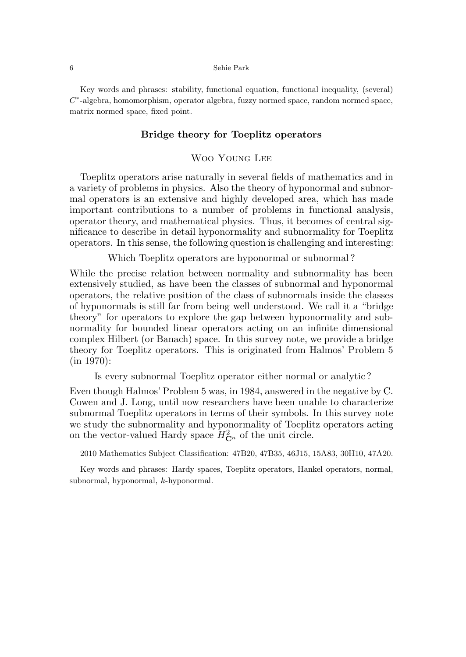Key words and phrases: stability, functional equation, functional inequality, (several)  $C^*$ -algebra, homomorphism, operator algebra, fuzzy normed space, random normed space, matrix normed space, fixed point.

## Bridge theory for Toeplitz operators

# WOO YOUNG LEE

Toeplitz operators arise naturally in several fields of mathematics and in a variety of problems in physics. Also the theory of hyponormal and subnormal operators is an extensive and highly developed area, which has made important contributions to a number of problems in functional analysis, operator theory, and mathematical physics. Thus, it becomes of central significance to describe in detail hyponormality and subnormality for Toeplitz operators. In this sense, the following question is challenging and interesting:

Which Toeplitz operators are hyponormal or subnormal?

While the precise relation between normality and subnormality has been extensively studied, as have been the classes of subnormal and hyponormal operators, the relative position of the class of subnormals inside the classes of hyponormals is still far from being well understood. We call it a "bridge theory" for operators to explore the gap between hyponormality and subnormality for bounded linear operators acting on an infinite dimensional complex Hilbert (or Banach) space. In this survey note, we provide a bridge theory for Toeplitz operators. This is originated from Halmos' Problem 5 (in 1970):

Is every subnormal Toeplitz operator either normal or analytic ?

Even though Halmos' Problem 5 was, in 1984, answered in the negative by C. Cowen and J. Long, until now researchers have been unable to characterize subnormal Toeplitz operators in terms of their symbols. In this survey note we study the subnormality and hyponormality of Toeplitz operators acting on the vector-valued Hardy space  $H_{\mathbf{C}^n}^2$  of the unit circle.

2010 Mathematics Subject Classification: 47B20, 47B35, 46J15, 15A83, 30H10, 47A20.

Key words and phrases: Hardy spaces, Toeplitz operators, Hankel operators, normal, subnormal, hyponormal, k-hyponormal.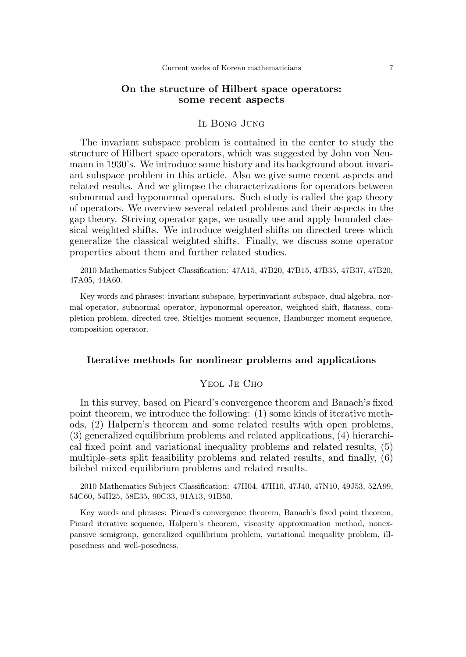### On the structure of Hilbert space operators: some recent aspects

### Il Bong Jung

The invariant subspace problem is contained in the center to study the structure of Hilbert space operators, which was suggested by John von Neumann in 1930's. We introduce some history and its background about invariant subspace problem in this article. Also we give some recent aspects and related results. And we glimpse the characterizations for operators between subnormal and hyponormal operators. Such study is called the gap theory of operators. We overview several related problems and their aspects in the gap theory. Striving operator gaps, we usually use and apply bounded classical weighted shifts. We introduce weighted shifts on directed trees which generalize the classical weighted shifts. Finally, we discuss some operator properties about them and further related studies.

2010 Mathematics Subject Classification: 47A15, 47B20, 47B15, 47B35, 47B37, 47B20, 47A05, 44A60.

Key words and phrases: invariant subspace, hyperinvariant subspace, dual algebra, normal operator, subnormal operator, hyponormal opereator, weighted shift, flatness, completion problem, directed tree, Stieltjes moment sequence, Hamburger moment sequence, composition operator.

### Iterative methods for nonlinear problems and applications

### Yeol Je Cho

In this survey, based on Picard's convergence theorem and Banach's fixed point theorem, we introduce the following: (1) some kinds of iterative methods, (2) Halpern's theorem and some related results with open problems, (3) generalized equilibrium problems and related applications, (4) hierarchical fixed point and variational inequality problems and related results, (5) multiple–sets split feasibility problems and related results, and finally, (6) bilebel mixed equilibrium problems and related results.

2010 Mathematics Subject Classification: 47H04, 47H10, 47J40, 47N10, 49J53, 52A99, 54C60, 54H25, 58E35, 90C33, 91A13, 91B50.

Key words and phrases: Picard's convergence theorem, Banach's fixed point theorem, Picard iterative sequence, Halpern's theorem, viscosity approximation method, nonexpansive semigroup, generalized equilibrium problem, variational inequality problem, illposedness and well-posedness.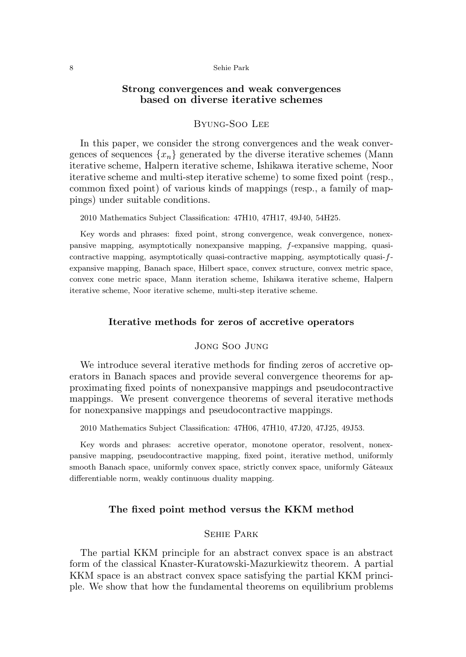# Strong convergences and weak convergences based on diverse iterative schemes

# Byung-Soo Lee

In this paper, we consider the strong convergences and the weak convergences of sequences  $\{x_n\}$  generated by the diverse iterative schemes (Mann iterative scheme, Halpern iterative scheme, Ishikawa iterative scheme, Noor iterative scheme and multi-step iterative scheme) to some fixed point (resp., common fixed point) of various kinds of mappings (resp., a family of mappings) under suitable conditions.

2010 Mathematics Subject Classification: 47H10, 47H17, 49J40, 54H25.

Key words and phrases: fixed point, strong convergence, weak convergence, nonexpansive mapping, asymptotically nonexpansive mapping, f-expansive mapping, quasicontractive mapping, asymptotically quasi-contractive mapping, asymptotically quasi-fexpansive mapping, Banach space, Hilbert space, convex structure, convex metric space, convex cone metric space, Mann iteration scheme, Ishikawa iterative scheme, Halpern iterative scheme, Noor iterative scheme, multi-step iterative scheme.

### Iterative methods for zeros of accretive operators

### Jong Soo Jung

We introduce several iterative methods for finding zeros of accretive operators in Banach spaces and provide several convergence theorems for approximating fixed points of nonexpansive mappings and pseudocontractive mappings. We present convergence theorems of several iterative methods for nonexpansive mappings and pseudocontractive mappings.

2010 Mathematics Subject Classification: 47H06, 47H10, 47J20, 47J25, 49J53.

Key words and phrases: accretive operator, monotone operator, resolvent, nonexpansive mapping, pseudocontractive mapping, fixed point, iterative method, uniformly smooth Banach space, uniformly convex space, strictly convex space, uniformly Gâteaux differentiable norm, weakly continuous duality mapping.

### The fixed point method versus the KKM method

### Sehie Park

The partial KKM principle for an abstract convex space is an abstract form of the classical Knaster-Kuratowski-Mazurkiewitz theorem. A partial KKM space is an abstract convex space satisfying the partial KKM principle. We show that how the fundamental theorems on equilibrium problems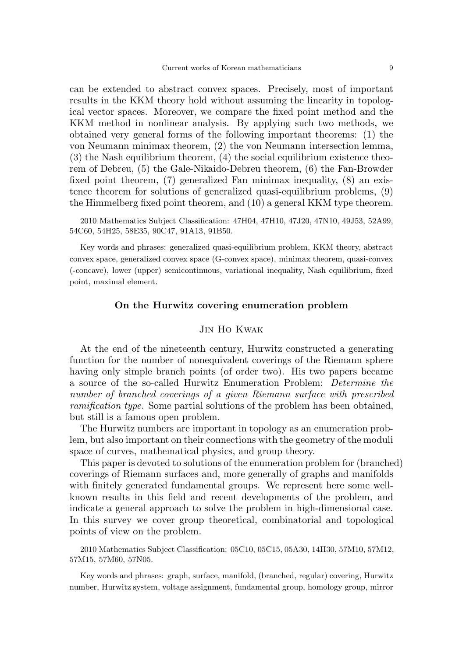can be extended to abstract convex spaces. Precisely, most of important results in the KKM theory hold without assuming the linearity in topological vector spaces. Moreover, we compare the fixed point method and the KKM method in nonlinear analysis. By applying such two methods, we obtained very general forms of the following important theorems: (1) the von Neumann minimax theorem, (2) the von Neumann intersection lemma, (3) the Nash equilibrium theorem, (4) the social equilibrium existence theorem of Debreu, (5) the Gale-Nikaido-Debreu theorem, (6) the Fan-Browder fixed point theorem, (7) generalized Fan minimax inequality, (8) an existence theorem for solutions of generalized quasi-equilibrium problems, (9) the Himmelberg fixed point theorem, and (10) a general KKM type theorem.

2010 Mathematics Subject Classification: 47H04, 47H10, 47J20, 47N10, 49J53, 52A99, 54C60, 54H25, 58E35, 90C47, 91A13, 91B50.

Key words and phrases: generalized quasi-equilibrium problem, KKM theory, abstract convex space, generalized convex space (G-convex space), minimax theorem, quasi-convex (-concave), lower (upper) semicontinuous, variational inequality, Nash equilibrium, fixed point, maximal element.

### On the Hurwitz covering enumeration problem

# Jin Ho Kwak

At the end of the nineteenth century, Hurwitz constructed a generating function for the number of nonequivalent coverings of the Riemann sphere having only simple branch points (of order two). His two papers became a source of the so-called Hurwitz Enumeration Problem: Determine the number of branched coverings of a given Riemann surface with prescribed ramification type. Some partial solutions of the problem has been obtained, but still is a famous open problem.

The Hurwitz numbers are important in topology as an enumeration problem, but also important on their connections with the geometry of the moduli space of curves, mathematical physics, and group theory.

This paper is devoted to solutions of the enumeration problem for (branched) coverings of Riemann surfaces and, more generally of graphs and manifolds with finitely generated fundamental groups. We represent here some wellknown results in this field and recent developments of the problem, and indicate a general approach to solve the problem in high-dimensional case. In this survey we cover group theoretical, combinatorial and topological points of view on the problem.

2010 Mathematics Subject Classification: 05C10, 05C15, 05A30, 14H30, 57M10, 57M12, 57M15, 57M60, 57N05.

Key words and phrases: graph, surface, manifold, (branched, regular) covering, Hurwitz number, Hurwitz system, voltage assignment, fundamental group, homology group, mirror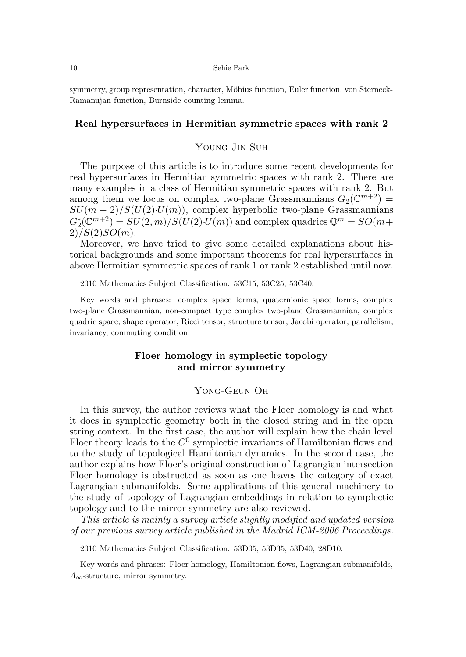symmetry, group representation, character, Möbius function, Euler function, von Sterneck-Ramanujan function, Burnside counting lemma.

### Real hypersurfaces in Hermitian symmetric spaces with rank 2

### Young Jin Suh

The purpose of this article is to introduce some recent developments for real hypersurfaces in Hermitian symmetric spaces with rank 2. There are many examples in a class of Hermitian symmetric spaces with rank 2. But among them we focus on complex two-plane Grassmannians  $G_2(\mathbb{C}^{m+2})$  =  $SU(m + 2)/S(U(2) \cdot U(m))$ , complex hyperbolic two-plane Grassmannians  $G_2^*(\mathbb{C}^{m+2}) = SU(2,m)/S(U(2) \cdot U(m))$  and complex quadrics  $\mathbb{Q}^m = SO(m +$  $2)/S(2)SO(m)$ .

Moreover, we have tried to give some detailed explanations about historical backgrounds and some important theorems for real hypersurfaces in above Hermitian symmetric spaces of rank 1 or rank 2 established until now.

2010 Mathematics Subject Classification: 53C15, 53C25, 53C40.

Key words and phrases: complex space forms, quaternionic space forms, complex two-plane Grassmannian, non-compact type complex two-plane Grassmannian, complex quadric space, shape operator, Ricci tensor, structure tensor, Jacobi operator, parallelism, invariancy, commuting condition.

# Floer homology in symplectic topology and mirror symmetry

### Yong-Geun Oh

In this survey, the author reviews what the Floer homology is and what it does in symplectic geometry both in the closed string and in the open string context. In the first case, the author will explain how the chain level Floer theory leads to the  $C^0$  symplectic invariants of Hamiltonian flows and to the study of topological Hamiltonian dynamics. In the second case, the author explains how Floer's original construction of Lagrangian intersection Floer homology is obstructed as soon as one leaves the category of exact Lagrangian submanifolds. Some applications of this general machinery to the study of topology of Lagrangian embeddings in relation to symplectic topology and to the mirror symmetry are also reviewed.

This article is mainly a survey article slightly modified and updated version of our previous survey article published in the Madrid ICM-2006 Proceedings.

2010 Mathematics Subject Classification: 53D05, 53D35, 53D40; 28D10.

Key words and phrases: Floer homology, Hamiltonian flows, Lagrangian submanifolds,  $A_{\infty}$ -structure, mirror symmetry.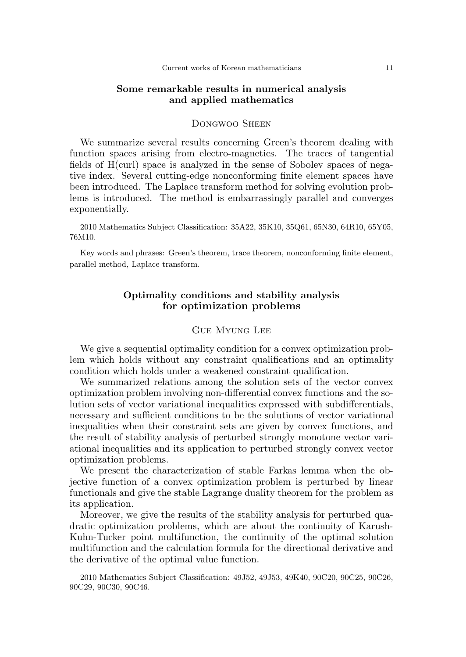# Some remarkable results in numerical analysis and applied mathematics

# Dongwoo Sheen

We summarize several results concerning Green's theorem dealing with function spaces arising from electro-magnetics. The traces of tangential fields of H(curl) space is analyzed in the sense of Sobolev spaces of negative index. Several cutting-edge nonconforming finite element spaces have been introduced. The Laplace transform method for solving evolution problems is introduced. The method is embarrassingly parallel and converges exponentially.

2010 Mathematics Subject Classification: 35A22, 35K10, 35Q61, 65N30, 64R10, 65Y05, 76M10.

Key words and phrases: Green's theorem, trace theorem, nonconforming finite element, parallel method, Laplace transform.

# Optimality conditions and stability analysis for optimization problems

# Gue Myung Lee

We give a sequential optimality condition for a convex optimization problem which holds without any constraint qualifications and an optimality condition which holds under a weakened constraint qualification.

We summarized relations among the solution sets of the vector convex optimization problem involving non-differential convex functions and the solution sets of vector variational inequalities expressed with subdifferentials, necessary and sufficient conditions to be the solutions of vector variational inequalities when their constraint sets are given by convex functions, and the result of stability analysis of perturbed strongly monotone vector variational inequalities and its application to perturbed strongly convex vector optimization problems.

We present the characterization of stable Farkas lemma when the objective function of a convex optimization problem is perturbed by linear functionals and give the stable Lagrange duality theorem for the problem as its application.

Moreover, we give the results of the stability analysis for perturbed quadratic optimization problems, which are about the continuity of Karush-Kuhn-Tucker point multifunction, the continuity of the optimal solution multifunction and the calculation formula for the directional derivative and the derivative of the optimal value function.

2010 Mathematics Subject Classification: 49J52, 49J53, 49K40, 90C20, 90C25, 90C26, 90C29, 90C30, 90C46.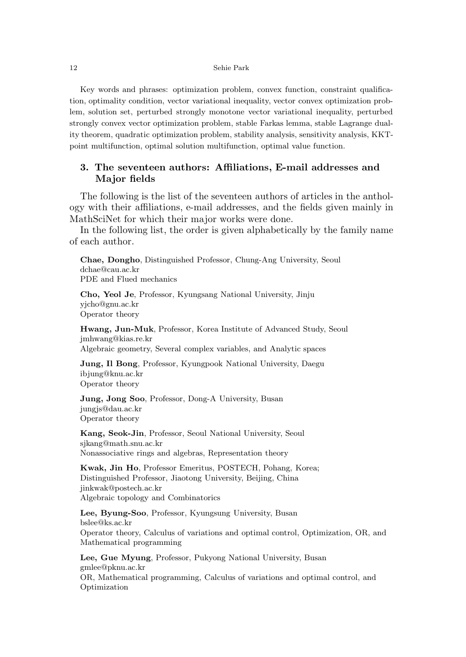Key words and phrases: optimization problem, convex function, constraint qualification, optimality condition, vector variational inequality, vector convex optimization problem, solution set, perturbed strongly monotone vector variational inequality, perturbed strongly convex vector optimization problem, stable Farkas lemma, stable Lagrange duality theorem, quadratic optimization problem, stability analysis, sensitivity analysis, KKTpoint multifunction, optimal solution multifunction, optimal value function.

# 3. The seventeen authors: Affiliations, E-mail addresses and Major fields

The following is the list of the seventeen authors of articles in the anthology with their affiliations, e-mail addresses, and the fields given mainly in MathSciNet for which their major works were done.

In the following list, the order is given alphabetically by the family name of each author.

Chae, Dongho, Distinguished Professor, Chung-Ang University, Seoul dchae@cau.ac.kr PDE and Flued mechanics

Cho, Yeol Je, Professor, Kyungsang National University, Jinju yjcho@gnu.ac.kr Operator theory

Hwang, Jun-Muk, Professor, Korea Institute of Advanced Study, Seoul jmhwang@kias.re.kr

Algebraic geometry, Several complex variables, and Analytic spaces

Jung, Il Bong, Professor, Kyungpook National University, Daegu ibjung@knu.ac.kr Operator theory

Jung, Jong Soo, Professor, Dong-A University, Busan jungjs@dau.ac.kr Operator theory

Kang, Seok-Jin, Professor, Seoul National University, Seoul sjkang@math.snu.ac.kr Nonassociative rings and algebras, Representation theory

Kwak, Jin Ho, Professor Emeritus, POSTECH, Pohang, Korea; Distinguished Professor, Jiaotong University, Beijing, China jinkwak@postech.ac.kr Algebraic topology and Combinatorics

Lee, Byung-Soo, Professor, Kyungsung University, Busan bslee@ks.ac.kr Operator theory, Calculus of variations and optimal control, Optimization, OR, and Mathematical programming

Lee, Gue Myung, Professor, Pukyong National University, Busan gmlee@pknu.ac.kr OR, Mathematical programming, Calculus of variations and optimal control, and Optimization